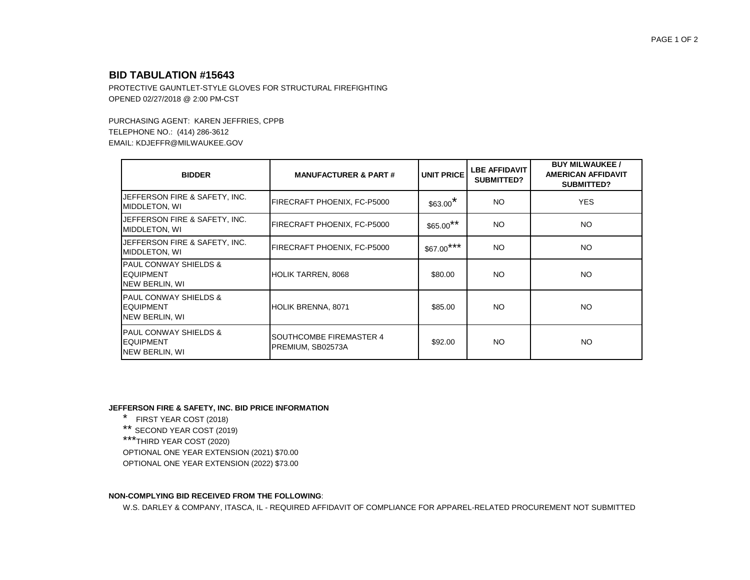## **BID TABULATION #15643**

PROTECTIVE GAUNTLET-STYLE GLOVES FOR STRUCTURAL FIREFIGHTING OPENED 02/27/2018 @ 2:00 PM-CST

PURCHASING AGENT: KAREN JEFFRIES, CPPB TELEPHONE NO.: (414) 286-3612 EMAIL: KDJEFFR@MILWAUKEE.GOV

| <b>BIDDER</b>                                                          | <b>MANUFACTURER &amp; PART#</b>              | <b>UNIT PRICE</b>     | <b>LBE AFFIDAVIT</b><br><b>SUBMITTED?</b> | <b>BUY MILWAUKEE /</b><br><b>AMERICAN AFFIDAVIT</b><br><b>SUBMITTED?</b> |
|------------------------------------------------------------------------|----------------------------------------------|-----------------------|-------------------------------------------|--------------------------------------------------------------------------|
| JEFFERSON FIRE & SAFETY, INC.<br>MIDDLETON, WI                         | FIRECRAFT PHOENIX, FC-P5000                  | $$63.00$ <sup>*</sup> | NO.                                       | <b>YES</b>                                                               |
| JEFFERSON FIRE & SAFETY, INC.<br>MIDDLETON, WI                         | FIRECRAFT PHOENIX, FC-P5000                  | $$65.00$ **           | NO.                                       | NO.                                                                      |
| JEFFERSON FIRE & SAFETY, INC.<br>MIDDLETON, WI                         | FIRECRAFT PHOENIX, FC-P5000                  | $$67.00***$           | NO.                                       | <b>NO</b>                                                                |
| IPAUL CONWAY SHIELDS &<br><b>EQUIPMENT</b><br>NEW BERLIN, WI           | HOLIK TARREN, 8068                           | \$80.00               | NO.                                       | <b>NO</b>                                                                |
| <b>PAUL CONWAY SHIELDS &amp;</b><br><b>EQUIPMENT</b><br>NEW BERLIN, WI | HOLIK BRENNA, 8071                           | \$85.00               | NO.                                       | <b>NO</b>                                                                |
| IPAUL CONWAY SHIELDS &<br><b>EQUIPMENT</b><br>NEW BERLIN, WI           | SOUTHCOMBE FIREMASTER 4<br>PREMIUM, SB02573A | \$92.00               | NO.                                       | NO.                                                                      |

## **JEFFERSON FIRE & SAFETY, INC. BID PRICE INFORMATION**

\* FIRST YEAR COST (2018) \*\* SECOND YEAR COST (2019)

\*\*\*THIRD YEAR COST (2020)

OPTIONAL ONE YEAR EXTENSION (2021) \$70.00

OPTIONAL ONE YEAR EXTENSION (2022) \$73.00

## **NON-COMPLYING BID RECEIVED FROM THE FOLLOWING**:

W.S. DARLEY & COMPANY, ITASCA, IL - REQUIRED AFFIDAVIT OF COMPLIANCE FOR APPAREL-RELATED PROCUREMENT NOT SUBMITTED